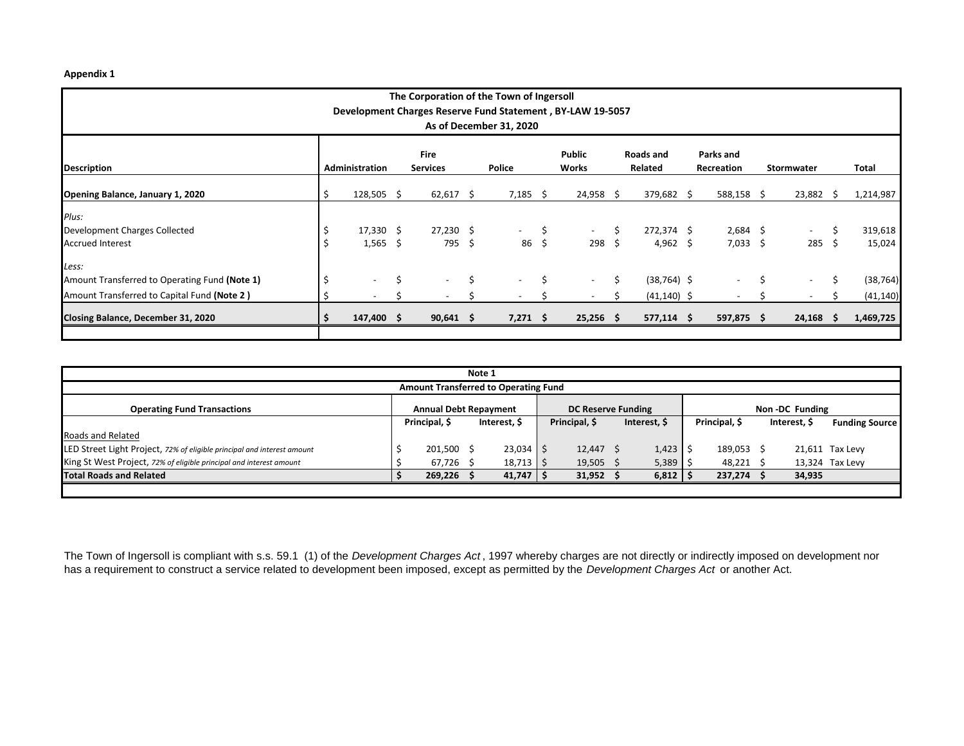## **Appendix 1**

| The Corporation of the Town of Ingersoll                                              |     |                                   |    |                          |      |                          |       |             |         |                |            |                          |            |                          |       |           |
|---------------------------------------------------------------------------------------|-----|-----------------------------------|----|--------------------------|------|--------------------------|-------|-------------|---------|----------------|------------|--------------------------|------------|--------------------------|-------|-----------|
| Development Charges Reserve Fund Statement, BY-LAW 19-5057<br>As of December 31, 2020 |     |                                   |    |                          |      |                          |       |             |         |                |            |                          |            |                          |       |           |
|                                                                                       |     |                                   |    |                          |      |                          |       |             |         |                |            |                          |            |                          |       |           |
| <b>Fire</b><br>Parks and<br>Public<br>Roads and                                       |     |                                   |    |                          |      |                          |       |             |         |                |            |                          |            |                          |       |           |
| Description                                                                           |     | Administration<br><b>Services</b> |    |                          |      | Police                   | Works |             | Related |                | Recreation |                          | Stormwater |                          | Total |           |
| Opening Balance, January 1, 2020                                                      |     | $128,505$ \$                      |    | $62,617$ \$              |      | $7,185$ \$               |       | $24,958$ \$ |         | 379,682 \$     |            | 588,158 \$               |            | 23,882                   | - S   | 1,214,987 |
| Plus:                                                                                 |     |                                   |    |                          |      |                          |       |             |         |                |            |                          |            |                          |       |           |
| Development Charges Collected                                                         |     | $17,330 \quad $$                  |    | $27,230$ \$              |      | $\Delta \sim 100$        | S     | $\sim$      | ς       | 272,374 \$     |            | $2,684$ \$               |            | $\sim$                   | Ŝ.    | 319,618   |
| <b>Accrued Interest</b>                                                               |     | $1,565$ \$                        |    | 795\$                    |      | $86\frac{1}{2}$          |       | 298         | - S     | 4,962 \$       |            | $7,033$ \$               |            | $285 \; \; \zeta$        |       | 15,024    |
| Less:                                                                                 |     |                                   |    |                          |      |                          |       |             |         |                |            |                          |            |                          |       |           |
| Amount Transferred to Operating Fund (Note 1)                                         | \$. |                                   | \$ | $\overline{\phantom{a}}$ | \$   | $\overline{\phantom{a}}$ | Ś.    | $\sim$      | Ŝ       | $(38, 764)$ \$ |            | $\overline{\phantom{a}}$ | Ś.         | $\overline{\phantom{a}}$ | \$    | (38, 764) |
| Amount Transferred to Capital Fund (Note 2)                                           |     |                                   |    | $\overline{\phantom{a}}$ |      |                          |       |             |         | $(41, 140)$ \$ |            | $\overline{\phantom{a}}$ |            | $\overline{\phantom{a}}$ |       | (41, 140) |
| Closing Balance, December 31, 2020                                                    |     | 147,400 \$                        |    | 90,641                   | - \$ | $7,271$ \$               |       | $25,256$ \$ |         | $577,114$ \$   |            | 597,875 \$               |            | 24,168                   | S.    | 1,469,725 |
|                                                                                       |     |                                   |    |                          |      |                          |       |             |         |                |            |                          |            |                          |       |           |

| Note 1                                                                  |  |                              |  |               |                           |             |              |  |                |              |        |                       |  |  |
|-------------------------------------------------------------------------|--|------------------------------|--|---------------|---------------------------|-------------|--------------|--|----------------|--------------|--------|-----------------------|--|--|
| <b>Amount Transferred to Operating Fund</b>                             |  |                              |  |               |                           |             |              |  |                |              |        |                       |  |  |
| <b>Operating Fund Transactions</b>                                      |  | <b>Annual Debt Repayment</b> |  |               | <b>DC Reserve Funding</b> |             |              |  | Non-DC Funding |              |        |                       |  |  |
|                                                                         |  | Principal, \$                |  | Interest, \$  | Principal, \$             |             | Interest, \$ |  | Principal, \$  | Interest, \$ |        | <b>Funding Source</b> |  |  |
| Roads and Related                                                       |  |                              |  |               |                           |             |              |  |                |              |        |                       |  |  |
| LED Street Light Project, 72% of eligible principal and interest amount |  | $201,500$ \$                 |  | $23,034$   \$ |                           | $12,447$ \$ | 1,423        |  | 189,053        |              |        | 21,611 Tax Levy       |  |  |
| King St West Project, 72% of eligible principal and interest amount     |  | 67,726 \$                    |  | $18,713$   \$ |                           | $19,505$ \$ | 5,389        |  | 48,221 \$      |              |        | 13,324 Tax Levy       |  |  |
| <b>Total Roads and Related</b>                                          |  | $269,226$ \$                 |  | $41,747$ \$   |                           | $31,952$ \$ | 6,812        |  | 237,274 \$     |              | 34,935 |                       |  |  |
|                                                                         |  |                              |  |               |                           |             |              |  |                |              |        |                       |  |  |

The Town of Ingersoll is compliant with s.s. 59.1 (1) of the *Development Charges Act* , 1997 whereby charges are not directly or indirectly imposed on development nor has a requirement to construct a service related to development been imposed, except as permitted by the *Development Charges Act* or another Act.